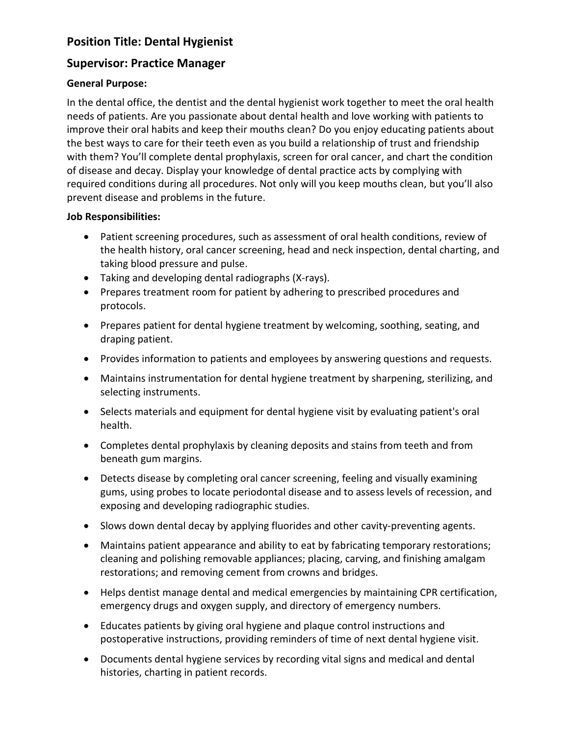# **Position Title: Dental Hygienist**

# **Supervisor: Practice Manager**

## **General Purpose:**

In the dental office, the dentist and the dental hygienist work together to meet the oral health needs of patients. Are you passionate about dental health and love working with patients to improve their oral habits and keep their mouths clean? Do you enjoy educating patients about the best ways to care for their teeth even as you build a relationship of trust and friendship with them? You'll complete dental prophylaxis, screen for oral cancer, and chart the condition of disease and decay. Display your knowledge of dental practice acts by complying with required conditions during all procedures. Not only will you keep mouths clean, but you'll also prevent disease and problems in the future.

### **Job Responsibilities:**

- Patient screening procedures, such as assessment of oral health conditions, review of the health history, oral cancer screening, head and neck inspection, dental charting, and taking blood pressure and pulse.
- Taking and developing dental radiographs (X-rays).
- Prepares treatment room for patient by adhering to prescribed procedures and protocols.
- Prepares patient for dental hygiene treatment by welcoming, soothing, seating, and draping patient.
- Provides information to patients and employees by answering questions and requests.
- Maintains instrumentation for dental hygiene treatment by sharpening, sterilizing, and selecting instruments.
- Selects materials and equipment for dental hygiene visit by evaluating patient's oral health.
- Completes dental prophylaxis by cleaning deposits and stains from teeth and from beneath gum margins.
- Detects disease by completing oral cancer screening, feeling and visually examining gums, using probes to locate periodontal disease and to assess levels of recession, and exposing and developing radiographic studies.
- Slows down dental decay by applying fluorides and other cavity-preventing agents.
- Maintains patient appearance and ability to eat by fabricating temporary restorations; cleaning and polishing removable appliances; placing, carving, and finishing amalgam restorations; and removing cement from crowns and bridges.
- Helps dentist manage dental and medical emergencies by maintaining CPR certification, emergency drugs and oxygen supply, and directory of emergency numbers.
- Educates patients by giving oral hygiene and plaque control instructions and postoperative instructions, providing reminders of time of next dental hygiene visit.
- Documents dental hygiene services by recording vital signs and medical and dental histories, charting in patient records.